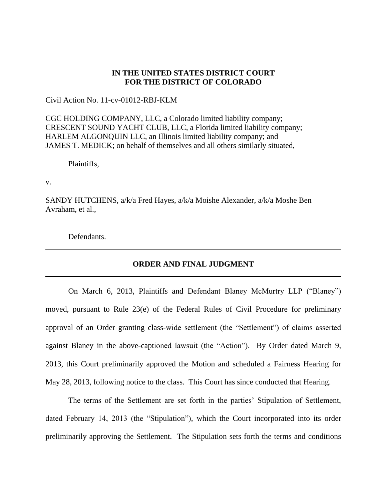# **IN THE UNITED STATES DISTRICT COURT FOR THE DISTRICT OF COLORADO**

Civil Action No. 11-cv-01012-RBJ-KLM

CGC HOLDING COMPANY, LLC, a Colorado limited liability company; CRESCENT SOUND YACHT CLUB, LLC, a Florida limited liability company; HARLEM ALGONQUIN LLC, an Illinois limited liability company; and JAMES T. MEDICK; on behalf of themselves and all others similarly situated,

Plaintiffs,

v.

SANDY HUTCHENS, a/k/a Fred Hayes, a/k/a Moishe Alexander, a/k/a Moshe Ben Avraham, et al.,

Defendants.

### **ORDER AND FINAL JUDGMENT**

On March 6, 2013, Plaintiffs and Defendant Blaney McMurtry LLP ("Blaney") moved, pursuant to Rule 23(e) of the Federal Rules of Civil Procedure for preliminary approval of an Order granting class-wide settlement (the "Settlement") of claims asserted against Blaney in the above-captioned lawsuit (the "Action"). By Order dated March 9, 2013, this Court preliminarily approved the Motion and scheduled a Fairness Hearing for May 28, 2013, following notice to the class. This Court has since conducted that Hearing.

The terms of the Settlement are set forth in the parties' Stipulation of Settlement, dated February 14, 2013 (the "Stipulation"), which the Court incorporated into its order preliminarily approving the Settlement. The Stipulation sets forth the terms and conditions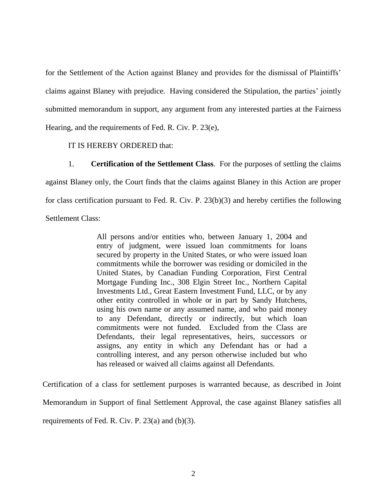for the Settlement of the Action against Blaney and provides for the dismissal of Plaintiffs' claims against Blaney with prejudice. Having considered the Stipulation, the parties' jointly submitted memorandum in support, any argument from any interested parties at the Fairness Hearing, and the requirements of Fed. R. Civ. P. 23(e),

# IT IS HEREBY ORDERED that:

1. **Certification of the Settlement Class**. For the purposes of settling the claims against Blaney only, the Court finds that the claims against Blaney in this Action are proper for class certification pursuant to Fed. R. Civ. P. 23(b)(3) and hereby certifies the following Settlement Class:

> All persons and/or entities who, between January 1, 2004 and entry of judgment, were issued loan commitments for loans secured by property in the United States, or who were issued loan commitments while the borrower was residing or domiciled in the United States, by Canadian Funding Corporation, First Central Mortgage Funding Inc., 308 Elgin Street Inc., Northern Capital Investments Ltd., Great Eastern Investment Fund, LLC, or by any other entity controlled in whole or in part by Sandy Hutchens, using his own name or any assumed name, and who paid money to any Defendant, directly or indirectly, but which loan commitments were not funded. Excluded from the Class are Defendants, their legal representatives, heirs, successors or assigns, any entity in which any Defendant has or had a controlling interest, and any person otherwise included but who has released or waived all claims against all Defendants.

Certification of a class for settlement purposes is warranted because, as described in Joint Memorandum in Support of final Settlement Approval, the case against Blaney satisfies all requirements of Fed. R. Civ. P. 23(a) and (b)(3).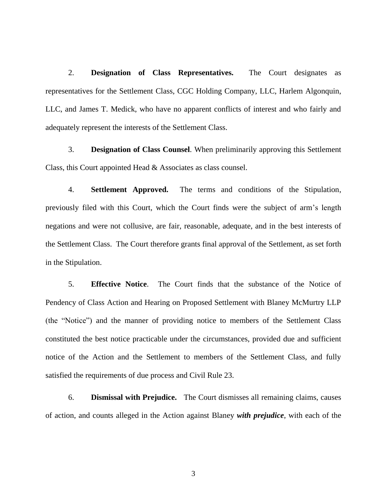2. **Designation of Class Representatives.** The Court designates as representatives for the Settlement Class, CGC Holding Company, LLC, Harlem Algonquin, LLC, and James T. Medick, who have no apparent conflicts of interest and who fairly and adequately represent the interests of the Settlement Class.

3. **Designation of Class Counsel**. When preliminarily approving this Settlement Class, this Court appointed Head & Associates as class counsel.

4. **Settlement Approved.** The terms and conditions of the Stipulation, previously filed with this Court, which the Court finds were the subject of arm's length negations and were not collusive, are fair, reasonable, adequate, and in the best interests of the Settlement Class. The Court therefore grants final approval of the Settlement, as set forth in the Stipulation.

5. **Effective Notice**. The Court finds that the substance of the Notice of Pendency of Class Action and Hearing on Proposed Settlement with Blaney McMurtry LLP (the "Notice") and the manner of providing notice to members of the Settlement Class constituted the best notice practicable under the circumstances, provided due and sufficient notice of the Action and the Settlement to members of the Settlement Class, and fully satisfied the requirements of due process and Civil Rule 23.

6. **Dismissal with Prejudice.** The Court dismisses all remaining claims, causes of action, and counts alleged in the Action against Blaney *with prejudice*, with each of the

3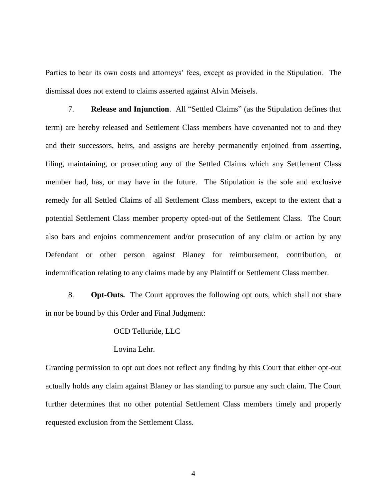Parties to bear its own costs and attorneys' fees, except as provided in the Stipulation. The dismissal does not extend to claims asserted against Alvin Meisels.

7. **Release and Injunction**. All "Settled Claims" (as the Stipulation defines that term) are hereby released and Settlement Class members have covenanted not to and they and their successors, heirs, and assigns are hereby permanently enjoined from asserting, filing, maintaining, or prosecuting any of the Settled Claims which any Settlement Class member had, has, or may have in the future. The Stipulation is the sole and exclusive remedy for all Settled Claims of all Settlement Class members, except to the extent that a potential Settlement Class member property opted-out of the Settlement Class. The Court also bars and enjoins commencement and/or prosecution of any claim or action by any Defendant or other person against Blaney for reimbursement, contribution, or indemnification relating to any claims made by any Plaintiff or Settlement Class member.

8. **Opt-Outs.** The Court approves the following opt outs, which shall not share in nor be bound by this Order and Final Judgment:

#### OCD Telluride, LLC

#### Lovina Lehr.

Granting permission to opt out does not reflect any finding by this Court that either opt-out actually holds any claim against Blaney or has standing to pursue any such claim. The Court further determines that no other potential Settlement Class members timely and properly requested exclusion from the Settlement Class.

4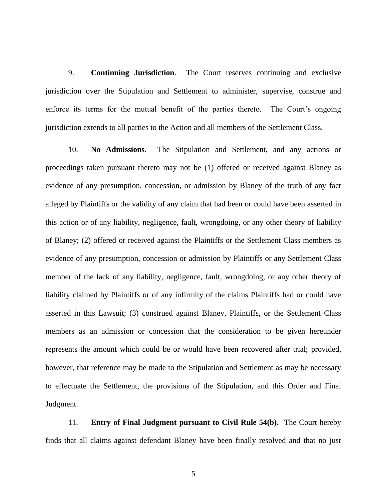9. **Continuing Jurisdiction**. The Court reserves continuing and exclusive jurisdiction over the Stipulation and Settlement to administer, supervise, construe and enforce its terms for the mutual benefit of the parties thereto. The Court's ongoing jurisdiction extends to all parties to the Action and all members of the Settlement Class.

10. **No Admissions**. The Stipulation and Settlement, and any actions or proceedings taken pursuant thereto may not be (1) offered or received against Blaney as evidence of any presumption, concession, or admission by Blaney of the truth of any fact alleged by Plaintiffs or the validity of any claim that had been or could have been asserted in this action or of any liability, negligence, fault, wrongdoing, or any other theory of liability of Blaney; (2) offered or received against the Plaintiffs or the Settlement Class members as evidence of any presumption, concession or admission by Plaintiffs or any Settlement Class member of the lack of any liability, negligence, fault, wrongdoing, or any other theory of liability claimed by Plaintiffs or of any infirmity of the claims Plaintiffs had or could have asserted in this Lawsuit; (3) construed against Blaney, Plaintiffs, or the Settlement Class members as an admission or concession that the consideration to be given hereunder represents the amount which could be or would have been recovered after trial; provided, however, that reference may be made to the Stipulation and Settlement as may be necessary to effectuate the Settlement, the provisions of the Stipulation, and this Order and Final Judgment.

11. **Entry of Final Judgment pursuant to Civil Rule 54(b).** The Court hereby finds that all claims against defendant Blaney have been finally resolved and that no just